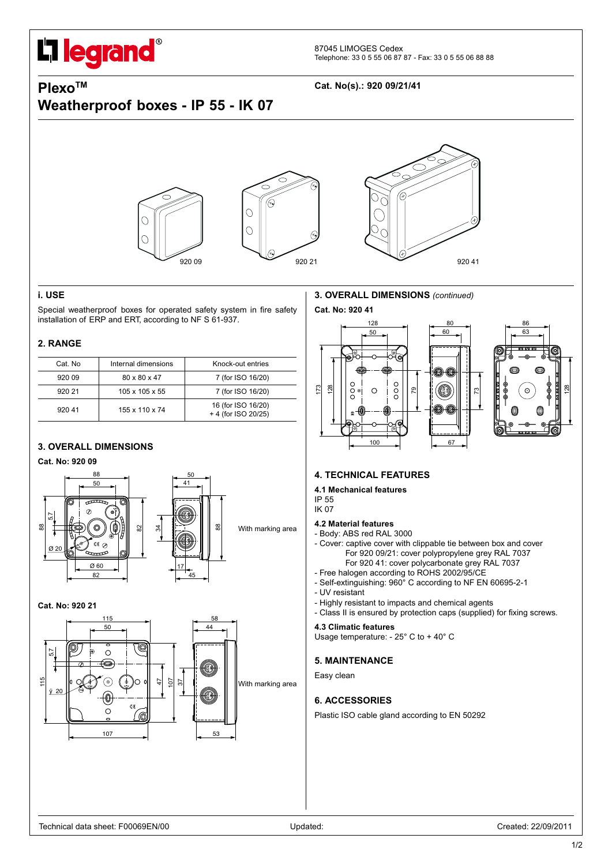# **I** legrand®

# **Weatherproof boxes - IP 55 - IK 07**

## **PlexoTM Cat. No(s).: 920 09/21/41**



#### **i. USE**

Special weatherproof boxes for operated safety system in fire safety installation of ERP and ERT, according to NF S 61-937.

#### **2. RANGE**

| Cat. No | Internal dimensions        | Knock-out entries                         |
|---------|----------------------------|-------------------------------------------|
| 920 09  | 80 x 80 x 47               | 7 (for ISO 16/20)                         |
| 92021   | $105 \times 105 \times 55$ | 7 (for ISO 16/20)                         |
| 92041   | 155 x 110 x 74             | 16 (for ISO 16/20)<br>+ 4 (for ISO 20/25) |

#### **3. OVERALL DIMENSIONS**

#### **Cat. No: 920 09**



#### **Cat. No: 920 21**



#### **3. OVERALL DIMENSIONS** *(continued)*

**Cat. No: 920 41**





#### **4. TECHNICAL FEATURES**

### **4.1 Mechanical features**

IP 55 IK 07

#### **4.2 Material features** - Body: ABS red RAL 3000

- Cover: captive cover with clippable tie between box and cover For 920 09/21: cover polypropylene grey RAL 7037 For 920 41: cover polycarbonate grey RAL 7037
- Free halogen according to ROHS 2002/95/CE
- Self-extinguishing: 960° C according to NF EN 60695-2-1
- UV resistant
- Highly resistant to impacts and chemical agents
- Class II is ensured by protection caps (supplied) for fixing screws.

#### **4.3 Climatic features**

Usage temperature: - 25° C to + 40° C

#### **5. MAINTENANCE**

Easy clean

#### **6. ACCESSORIES**

Plastic ISO cable gland according to EN 50292